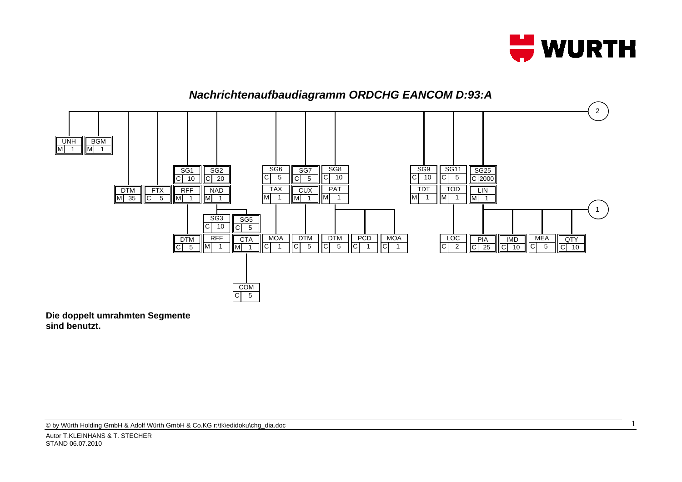

1



**Die doppelt umrahmten Segmente sind benutzt.**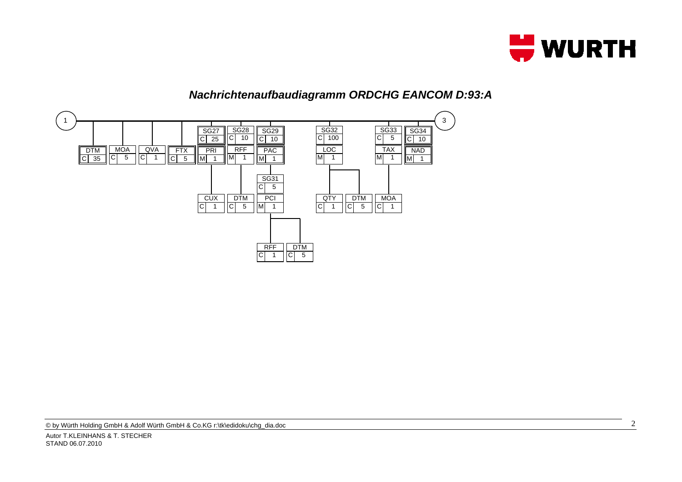

## *Nachrichtenaufbaudiagramm ORDCHG EANCOM D:93:A*

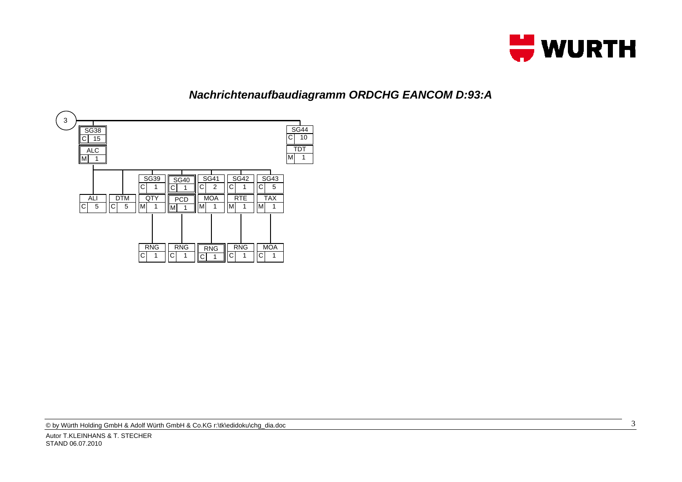

## *Nachrichtenaufbaudiagramm ORDCHG EANCOM D:93:A*